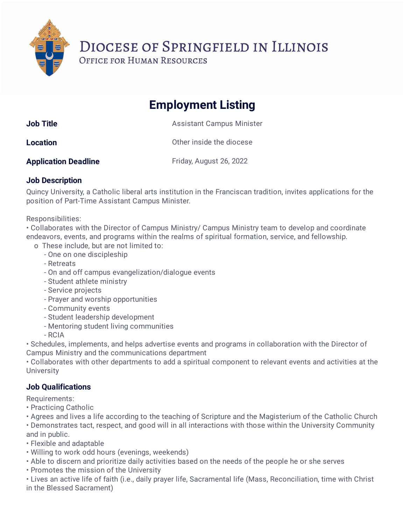DIOCESE OF SPRINGFIELD IN ILLINOIS

OFFICE FOR HUMAN RESOURCES

## **Employment Listing**

| <b>Job Title</b> | <b>Assistant Campus Minister</b> |
|------------------|----------------------------------|
| <b>Location</b>  | Other inside the diocese         |

**Application Deadline** Friday, August 26, 2022

## **Job Description**

Quincy University, a Catholic liberal arts institution in the Franciscan tradition, invites applications for the position of Part-Time Assistant Campus Minister.

Responsibilities:

• Collaborates with the Director of Campus Ministry/ Campus Ministry team to develop and coordinate endeavors, events, and programs within the realms of spiritual formation, service, and fellowship.

- o These include, but are not limited to:
	- One on one discipleship
	- Retreats
	- On and off campus evangelization/dialogue events
	- Student athlete ministry
	- Service projects
	- Prayer and worship opportunities
	- Community events
	- Student leadership development
	- Mentoring student living communities
	- RCIA

• Schedules, implements, and helps advertise events and programs in collaboration with the Director of Campus Ministry and the communications department

• Collaborates with other departments to add a spiritual component to relevant events and activities at the **University** 

## **Job Qualifications**

Requirements:

• Practicing Catholic

• Agrees and lives a life according to the teaching of Scripture and the Magisterium of the Catholic Church • Demonstrates tact, respect, and good will in all interactions with those within the University Community and in public.

- Flexible and adaptable
- Willing to work odd hours (evenings, weekends)
- Able to discern and prioritize daily activities based on the needs of the people he or she serves
- Promotes the mission of the University

• Lives an active life of faith (i.e., daily prayer life, Sacramental life (Mass, Reconciliation, time with Christ in the Blessed Sacrament)